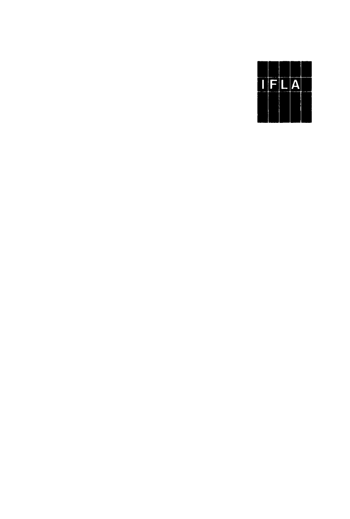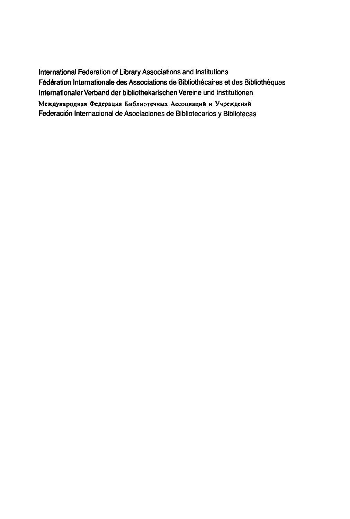International Federation of Library Associations and Institutions Fédération Internationale des Associations de Bibliothécaires et des Bibliothèques Internationaler Verband der bibliothekarischen Vereine und Institutionen Международная Федерация Библиотечных Ассоциаций и Учреждений Federación Internacional de Asociaciones de Bibliotecarios y Bibliotecas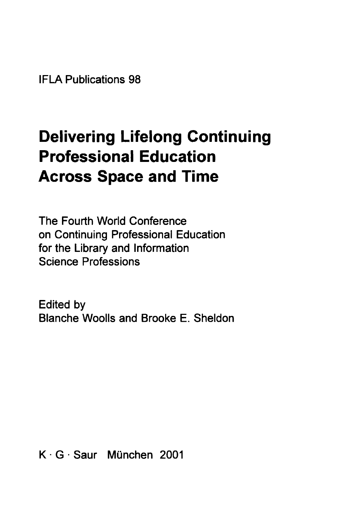**IFLA Publications 98** 

# **Delivering Lifelong Continuing Professional Education Across Space and Time**

The Fourth World Conference on Continuing Professional Education for the Library and Information Science Professions

Edited by Blanche Woolls and Brooke E. Sheldon

K G - Saur München 2001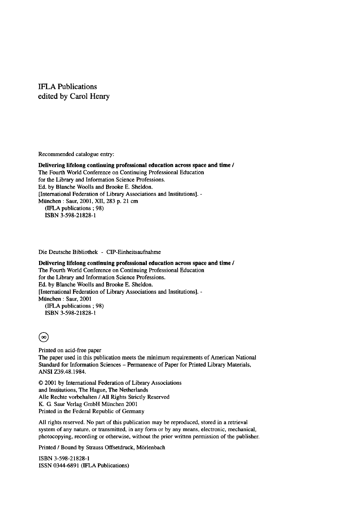#### **IFLA Publications edited by Carol Henry**

Recommended catalogue entry:

**Delivering lifelong continuing professional education across space and time /**  The Fourth World Conference on Continuing Professional Education for the Library and Information Science Professions. Ed. by Blanche Woolls and Brooke E. Sheldon. [International Federation of Library Associations and Institutions], - München : Saur, 2001, XII, 283 p. 21 cm (IFLA publications ; 98) ISBN 3-598-21828-1

Die Deutsche Bibliothek - CIP-Einheitsaufnahme

**Delivering lifelong continuing professional education across space and time /**  The Fourth World Conference on Continuing Professional Education for the Library and Information Science Professions. Ed. by Blanche Woolls and Brooke E. Sheldon. [International Federation of Library Associations and Institutions]. - München : Saur, 2001 (IFLA publications ; 98) ISBN 3-598-21828-1

(∞)

Printed on acid-free paper The paper used in this publication meets the minimum requirements of American National Standard for Information Sciences - Permanence of Paper for Printed Library Materials, ANSI Z39.48.1984.

© 2001 by International Federation of Library Associations and Institutions, The Hague, The Netherlands Alle Rechte vorbehalten / All Rights Strictly Reserved K. G Saur Verlag GmbH München 2001 Printed in the Federal Republic of Germany

All rights reserved. No part of this publication may be reproduced, stored in a retrieval system of any nature, or transmitted, in any form or by any means, electronic, mechanical, photocopying, recording or otherwise, without the prior written permission of the publisher.

Printed / Bound by Strauss Offsetdruck, Mörlenbach

ISBN 3-598-21828-1 ISSN 0344-6891 (IFLA Publications)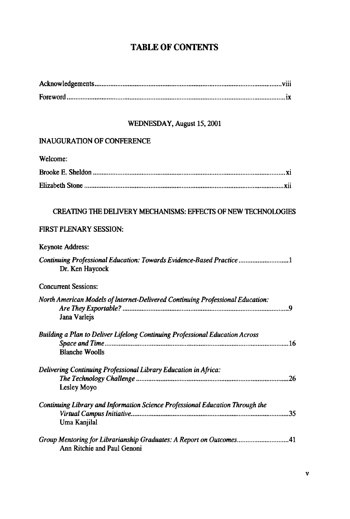# **TABLE OF CONTENTS**

# WEDNESDAY, August 15,2001

### INAUGURATION OF CONFERENCE

| Welcome:                                                                                              |
|-------------------------------------------------------------------------------------------------------|
|                                                                                                       |
|                                                                                                       |
| <b>CREATING THE DELIVERY MECHANISMS: EFFECTS OF NEW TECHNOLOGIES</b>                                  |
| <b>FIRST PLENARY SESSION:</b>                                                                         |
| <b>Keynote Address:</b>                                                                               |
| Continuing Professional Education: Towards Evidence-Based Practice 1<br>Dr. Ken Haycock               |
| <b>Concurrent Sessions:</b>                                                                           |
| North American Models of Internet-Delivered Continuing Professional Education:<br>Jana Varlejs        |
| Building a Plan to Deliver Lifelong Continuing Professional Education Across<br><b>Blanche Woolls</b> |
| Delivering Continuing Professional Library Education in Africa:<br>Lesley Moyo                        |
| Continuing Library and Information Science Professional Education Through the<br>Uma Kanjilal         |
| Group Mentoring for Librarianship Graduates: A Report on Outcomes41<br>Ann Ritchie and Paul Genoni    |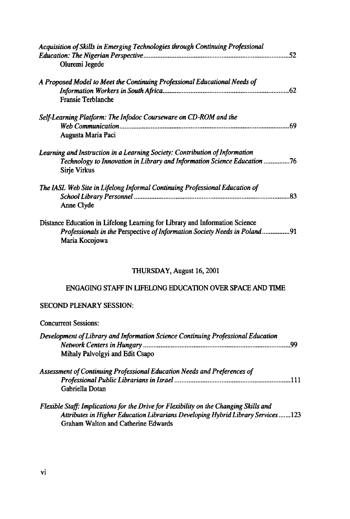| Acquisition of Skills in Emerging Technologies through Continuing Professional<br>Oluremi Jegede                                                                           |
|----------------------------------------------------------------------------------------------------------------------------------------------------------------------------|
| A Proposed Model to Meet the Continuing Professional Educational Needs of<br><b>Fransie Terblanche</b>                                                                     |
| Self-Learning Platform: The Infodoc Courseware on CD-ROM and the<br>Augusta Maria Paci                                                                                     |
| Learning and Instruction in a Learning Society: Contribution of Information<br>Technology to Innovation in Library and Information Science Education 76<br>Sirje Virkus    |
| The IASL Web Site in Lifelong Informal Continuing Professional Education of<br>Anne Clyde                                                                                  |
| Distance Education in Lifelong Learning for Library and Information Science<br>Professionals in the Perspective of Information Society Needs in Poland91<br>Maria Kocojowa |
| THURSDAY, August 16, 2001                                                                                                                                                  |
| ENGAGING STAFF IN LIFELONG EDUCATION OVER SPACE AND TIME                                                                                                                   |
| <b>SECOND PLENARY SESSION:</b>                                                                                                                                             |

| <b>Concurrent Sessions:</b>                                                      |  |
|----------------------------------------------------------------------------------|--|
| Development of Library and Information Science Continuing Professional Education |  |
|                                                                                  |  |
| Mihaly Palvolgyi and Edit Csapo                                                  |  |

| Assessment of Continuing Professional Education Needs and Preferences of |  |
|--------------------------------------------------------------------------|--|
|                                                                          |  |
| Gabriella Dotan                                                          |  |

*Flexible Staff: Implications for the Drive for Flexibility on the Changing Skills and Attributes in Higher Education Librarians Developing Hybrid Library Services 123*  Graham Walton and Catherine Edwards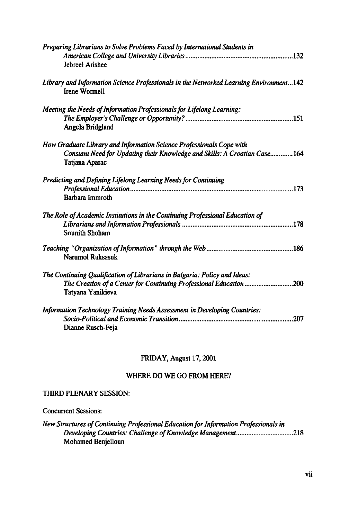| Preparing Librarians to Solve Problems Faced by International Students in<br><b>Jebreel Arishee</b>                                                                 |
|---------------------------------------------------------------------------------------------------------------------------------------------------------------------|
| Library and Information Science Professionals in the Networked Learning Environment142<br><b>Irene Wormell</b>                                                      |
| Meeting the Needs of Information Professionals for Lifelong Learning:<br>Angela Bridgland                                                                           |
| How Graduate Library and Information Science Professionals Cope with<br>Constant Need for Updating their Knowledge and Skills: A Croatian Case164<br>Tatjana Aparac |
| Predicting and Defining Lifelong Learning Needs for Continuing<br>Barbara Immroth                                                                                   |
| The Role of Academic Institutions in the Continuing Professional Education of<br><b>Snunith Shoham</b>                                                              |
| Narumol Ruksasuk                                                                                                                                                    |
| The Continuing Qualification of Librarians in Bulgaria: Policy and Ideas:<br>The Creation of a Center for Continuing Professional Education200<br>Tatyana Yanikieva |
| Information Technology Training Needs Assessment in Developing Countries:<br>.207<br>Dianne Rusch-Feja                                                              |

# FRIDAY, August 17,2001

# WHERE DO WE GO FROM HERE?

#### THIRD PLENARY SESSION:

Concurrent Sessions:

| New Structures of Continuing Professional Education for Information Professionals in |  |
|--------------------------------------------------------------------------------------|--|
|                                                                                      |  |
| Mohamed Benielloun                                                                   |  |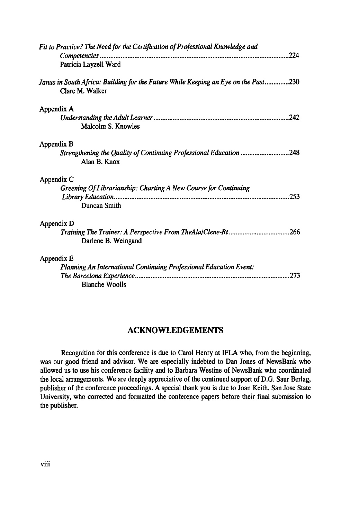| Fit to Practice? The Need for the Certification of Professional Knowledge and                         | .224 |
|-------------------------------------------------------------------------------------------------------|------|
| Patricia Layzell Ward                                                                                 |      |
| Janus in South Africa: Building for the Future While Keeping an Eye on the Past230<br>Clare M. Walker |      |
| Appendix A                                                                                            |      |
| Malcolm S. Knowles                                                                                    | 242  |
| Appendix B                                                                                            |      |
| Alan B. Knox                                                                                          | .248 |
| Appendix C                                                                                            |      |
| Greening Of Librarianship: Charting A New Course for Continuing<br>Library Education.                 | .253 |
| Duncan Smith                                                                                          |      |
| Appendix D                                                                                            |      |
| Training The Trainer: A Perspective From TheAla/Clene-Rt 266<br>Darlene B. Weingand                   |      |
| Appendix E                                                                                            |      |
| Planning An International Continuing Professional Education Event:                                    |      |
| <b>Blanche Woolls</b>                                                                                 | 273  |

## **ACKNOWLEDGEMENTS**

Recognition for this conference is due to Carol Henry at IFLA who, from the beginning, was our good friend and advisor. We are especially indebted to Dan Jones of NewsBank who allowed us to use his conference facility and to Barbara Westine of NewsBank who coordinated the local arrangements. We are deeply appreciative of the continued support of D.G. Saur Berlag, publisher of the conference proceedings. A special thank you is due to Joan Keith, San Jose State University, who corrected and formatted the conference papers before their final submission to the publisher.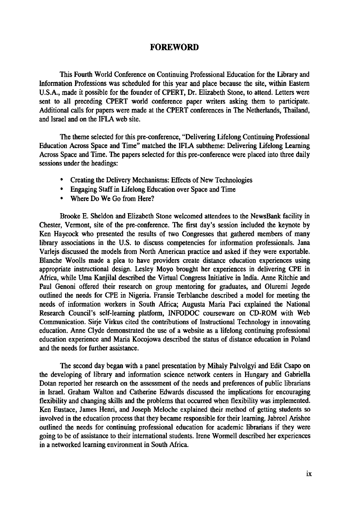#### **FOREWORD**

This Fourth World Conference on Continuing Professional Education for the Library and Information Professions was scheduled for this year and place because the site, within Eastern U.S.A., made it possible for the founder of CPERT, Dr. Elizabeth Stone, to attend. Letters were sent to all preceding CPERT world conference paper writers asking them to participate. Additional calls for papers were made at the CPERT conferences in The Netherlands, Thailand, and Israel and on the IFLA web site.

The theme selected for this pre-conference, "Delivering Lifelong Continuing Professional Education Across Space and Time" matched the IFLA subtheme: Delivering Lifelong Learning Across Space and Time. The papers selected for this pre-conference were placed into three daily sessions under the headings:

- Creating the Delivery Mechanisms: Effects of New Technologies
- Engaging Staff in Lifelong Education over Space and Time
- Where Do We Go from Here?

Brooke E. Sheldon and Elizabeth Stone welcomed attendees to the NewsBank facility in Chester, Vermont, site of the pre-conference. The first day's session included the keynote by Ken Haycock who presented the results of two Congresses that gathered members of many library associations in the U.S. to discuss competencies for information professionals. Jana Varlejs discussed the models from North American practice and asked if they were exportable. Blanche Woolls made a plea to have providers create distance education experiences using appropriate instructional design. Lesley Moyo brought her experiences in delivering CPE in Africa, while Uma Kanjilal described the Virtual Congress Initiative in India. Anne Ritchie and Paul Genoni offered their research on group mentoring for graduates, and Oluremi Jegede outlined the needs for CPE in Nigeria. Fransie Terblanche described a model for meeting the needs of information workers in South Africa; Augusta Maria Paci explained the National Research Council's self-learning platform, INFODOC courseware on CD-ROM with Web Communication. Sirje Virkus cited the contributions of Instructional Technology in innovating education. Anne Clyde demonstrated the use of a website as a lifelong continuing professional education experience and Maria Kocojowa described the status of distance education in Poland and the needs for further assistance.

The second day began with a panel presentation by Mihaly Palvolgyi and Edit Csapo on the developing of library and information science network centers in Hungary and Gabriella Dotan reported her research on the assessment of the needs and preferences of public librarians in Israel. Graham Walton and Catherine Edwards discussed the implications for encouraging flexibility and changing skills and the problems that occurred when flexibility was implemented. Ken Eustace, James Henri, and Joseph Meloche explained their method of getting students so involved in the education process that they became responsible for their learning. Jabreel Arishee outlined the needs for continuing professional education for academic librarians if they were going to be of assistance to their international students. Irene Wormell described her experiences in a networked learning environment in South Africa.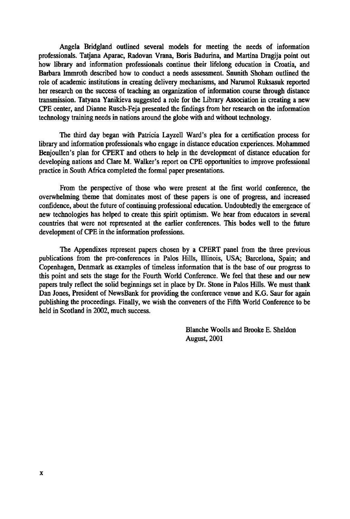Angela Bridgland outlined several models for meeting the needs of information professionals. Tatjana Aparac, Radovan Vrana, Boris Badurina, and Martina Dragija point out how library and information professionals continue their lifelong education in Croatia, and Barbara Immroth described how to conduct a needs assessment. Snunith Shoham outlined the role of academic institutions in creating delivery mechanisms, and Narumol Ruksasuk reported her research on the success of teaching an organization of information course through distance transmission. Tatyana Yanikieva suggested a role for the Library Association in creating a new CPE center, and Dianne Rusch-Feja presented the findings from her research on the information technology training needs in nations around the globe with and without technology.

The third day began with Patricia Layzell Ward's plea for a certification process for library and information professionals who engage in distance education experiences. Mohammed Benjoullen's plan for CPERT and others to help in the development of distance education for developing nations and Clare M. Walker's report on CPE opportunities to improve professional practice in South Africa completed the formal paper presentations.

From the perspective of those who were present at the first world conference, the overwhelming theme that dominates most of these papers is one of progress, and increased confidence, about the future of continuing professional education. Undoubtedly the emergence of new technologies has helped to create this spirit optimism. We hear from educators in several countries that were not represented at the earlier conferences. This bodes well to the future development of CPE in the information professions.

The Appendixes represent papers chosen by a CPERT panel from the three previous publications from the pre-conferences in Palos Hills, Illinois, USA; Barcelona, Spain; and Copenhagen, Denmark as examples of timeless information that is the base of our progress to this point and sets the stage for the Fourth World Conference. We feel that these and our new papers truly reflect the solid beginnings set in place by Dr. Stone in Palos Hills. We must thank Dan Jones, President of NewsBank for providing the conference venue and K.G. Saur for again publishing the proceedings. Finally, we wish the conveners of the Fifth World Conference to be held in Scotland in 2002, much success.

> Blanche Woolls and Brooke E. Sheldon August, 2001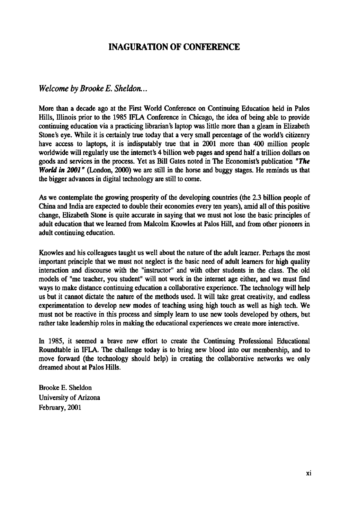# **INAGURATION OF CONFERENCE**

#### *Welcome by Brooke E. Sheldon...*

More than a decade ago at the First World Conference on Continuing Education held in Palos Hills, Illinois prior to the 1985 IFLA Conference in Chicago, the idea of being able to provide continuing education via a practicing librarian's laptop was little more than a gleam in Elizabeth Stone's eye. While it is certainly true today that a very small percentage of the world's citizenry have access to laptops, it is indisputably true that in 2001 more than 400 million people worldwide will regularly use the internet's 4 billion web pages and spend half a trillion dollars on goods and services in the process. Yet as Bill Gates noted in The Economist's publication *"The World in 2001 "* (London, 2000) we are still in the horse and buggy stages. He reminds us that the bigger advances in digital technology are still to come.

As we contemplate the growing prosperity of the developing countries (the 2.3 billion people of China and India are expected to double their economies every ten years), amid all of this positive change, Elizabeth Stone is quite accurate in saying that we must not lose the basic principles of adult education that we learned from Malcolm Knowles at Palos Hill, and from other pioneers in adult continuing education.

Knowles and his colleagues taught us well about the nature of the adult learner. Perhaps the most important principle that we must not neglect is the basic need of adult learners for high quality interaction and discourse with the "instructor" and with other students in the class. The old models of "me teacher, you student" will not work in the internet age either, and we must find ways to make distance continuing education a collaborative experience. The technology will help us but it cannot dictate the nature of the methods used. It will take great creativity, and endless experimentation to develop new modes of teaching using high touch as well as high tech. We must not be reactive in this process and simply learn to use new tools developed by others, but rather take leadership roles in making the educational experiences we create more interactive.

In 1985, it seemed a brave new effort to create the Continuing Professional Educational Roundtable in IFLA. The challenge today is to bring new blood into our membership, and to move forward (the technology should help) in creating the collaborative networks we only dreamed about at Palos Hills.

Brooke E. Sheldon University of Arizona February, 2001